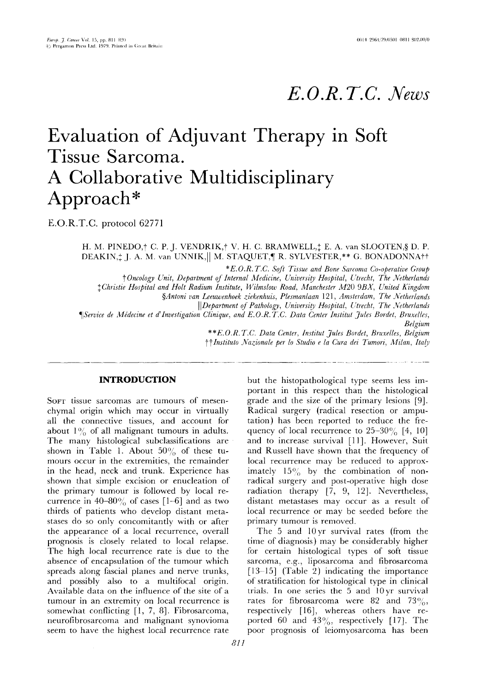# *E. O.R. T.C. News*

# **Evaluation of Adjuvant Therapy in Soft Tissue Sarcoma. A Collaborative Multidisciplinary Approach\***

E.O.R.T.C. protocol 62771

H. M. PINEDO, $\dagger$  C. P. J. VENDRIK, $\dagger$  V. H. C. BRAMWELL, $\ddagger$  E. A. van SLOOTEN, $\S$  D. P. DEAKIN,<sup> $+$ </sup> J. A. M. van UNNIK, || M. STAQUET,¶ R. SYLVESTER,\*\* G. BONADONNA††

 $*E.O.R.T.C. Soft Tissue and Bone Sarcoma Co-operative Group$ 

*t Oncology &:nit, Department of Internal Medicine, University Hospital, Utrecht, The Netherlands* 

*{Christie Hospital and Holt Radium Institute, Wilmslow Road, Manchester M20 9BX, United Kingdom* 

*§Antoni van Leeuwenhoek ziekenhuis, Plesmanlaan 121, Amsterdam, The Netherlands* 

*I IDepartment of Pathology, University Hospital, Utrecht, The Netherlands* 

*¶]Service de M#decine et d'Investigation Clinique, and E.O.R.T.C. Data Center Institut Jules Bordet, Bruxelles,* 

*Belgium* 

*\*\*E.O.R.T.C. Data Center, Institut Jules Bordet, Bruxelles, Belgium 4(~( Instituto Nazionale per lo Studio e la Cura dei Tumori, Milan, Italy* 

### **INTRODUCTION**

SOFT tissue sarcomas are tumours of mesenchymal origin which may occur in virtually all the connective tissues, and account for about  $1\%$  of all malignant tumours in adults. The many histological subclassifications are shown in Table 1. About  $50\%$  of these tumours occur in the extremities, the remainder in the head, neck and trunk. Experience has shown that simple excision or enucleation of the primary tumour is followed by local recurrence in 40-80% of cases  $[1-6]$  and as two thirds of patients who develop distant metastases do so only concomitantly with or after the appearance of a local recurrence, overall prognosis is closely related to local relapse. The high local recurrence rate is due to the absence of encapsulation of the tumour which spreads along fascial planes and nerve trunks, and possibly also to a multifocal origin. Available data on the influence of the site of a tumour in an extremity on local recurrence is somewhat conflicting [1, 7, 8]. Fibrosarcoma, neurofibrosarcoma and malignant synovioma seem to have the highest local recurrence rate

*811* 

but the histopathological type seems less important in this respect than the histological grade and the size of the primary lesions [9]. Radical surgery (radical resection or amputation) has been reported to reduce the frequency of local recurrence to  $25-30\%$  [4, 10] and to increase survival [11]. However, Suit and Russell have shown that the frequency of local recurrence may be reduced to approximately  $15\%$  by the combination of nonradical surgery and post-operative high dose radiation therapy [7, 9, 12]. Nevertheless, distant metastases may occur as a result of local recurrence or may be seeded before the primary tumour is removed.

The 5 and 10yr survival rates (from the time of diagnosis) may be considerably higher for certain histological types of soft tissue sarcoma, e.g., liposarcoma and fibrosarcoma [13-15] (Table 2) indicating the importance of stratification for histological type in clinical trials. In one series the 5 and 10yr survival rates for fibrosarcoma were 82 and 73%, respectively [16], whereas others have reported 60 and 43%, respectively [17]. The poor prognosis of leiomyosarcoma has been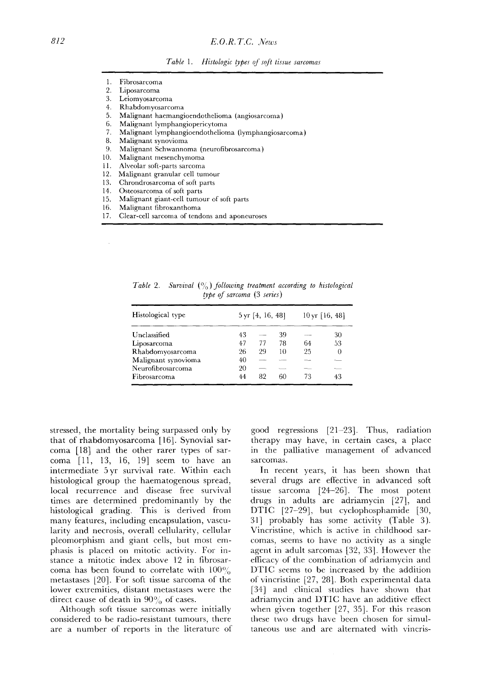- 1. Fibrosarcoma
- Liposarcoma
- 3. Leiomyosarcoma
- 4. Rhabdomyosarcoma
- 5. Malignant haemangioendothelioma (angiosarcoma)
- 6. Malignant lymphangiopericytoma
- 7. Malignant lymphangioendothelioma (lymphangiosarcoma)
- 8. Malignant synovioma<br>9. Malignant Schwannol
- 9. Malignant Schwannoma (neurofibrosarcoma)<br>10. Malignant mesenchymoma
- Malignant mesenchymoma
- 11. Alveolar soft-parts sarcoma
- 12. Malignant granular cell tumour
- 13. Chrondrosarcoma of soft parts
- 14. Osteosarcoma of soft parts<br>15. Malignant giant-cell tumo Malignant giant-cell tumour of soft parts
- 16. Malignant fibroxanthoma
- 17. Clear-cell sarcoma of tendons and aponeuroses

| Histological type   | $5 \,\text{yr}$ [4, 16, 48] |    |    | $10 \,\text{yr}$ [16, 48] |          |
|---------------------|-----------------------------|----|----|---------------------------|----------|
| Unclassified        | 43                          |    | 39 |                           | 30       |
| Liposarcoma         | 47                          | 77 | 78 | 64                        | 53       |
| Rhabdomyosarcoma    | 26                          | 29 | 10 | 25                        | $\Omega$ |
| Malignant synovioma | 40                          |    |    |                           |          |
| Neurofibrosarcoma   | 20                          |    |    |                           |          |
| Fibrosarcoma        | 44                          | 82 | 60 | 73                        | 43       |
|                     |                             |    |    |                           |          |

*Table 2.* Survival  $\binom{0}{0}$  following treatment according to histological *type of sarcoma* (3 *series)* 

stressed, the mortality being surpassed only by that of rhabdomyosarcoma [16]. Synovial sarcoma [18] and the other rarer types of sarcoma [11, 13, 16, 19] seem to have an intermediate 5yr survival rate. Within each histological group the haematogenous spread, local recurrence and disease free survival times are determined predominantly by the histological grading. This is derived from many features, including encapsulation, vascularity and necrosis, overall cellularity, cellular pleomorphism and giant cells, but most emphasis is placed on mitotic activity. For instance a mitotic index above 12 in fibrosarcoma has been found to correlate with  $100\%$ metastases [20]. For soft tissue sarcoma of the lower extremities, distant metastases were the direct cause of death in  $90\%$  of cases.

Although soft tissue sarcomas were initially considered to be radio-resistant tumours, there are a number of reports in the literature of good regressions [21-23]. Thus, radiation therapy may have, in certain cases, a place in the palliative management of advanced sarcomas.

In recent years, it has been shown that several drugs are effective in advanced soft tissue sarcoma [24-26]. The most potent drugs in adults are adriamycin [27], and DTIC [27-29], but cyclophosphamide [30, 31] probably has some activity (Table 3). Vincristine, which is active in childhood sarcomas, seems to have no activity as a single agent in adult sarcomas [32, 33]. However the efficacy of the combination of adriamycin and DTIC seems to be increased by the addition of vincristine [27, 28]. Both experimental data [34] and clinical studies have shown that adriamycin and DTIC have an additive effect when given together [27, 35]. For this reason these two drugs have been chosen for simultaneous use and are alternated with vincris-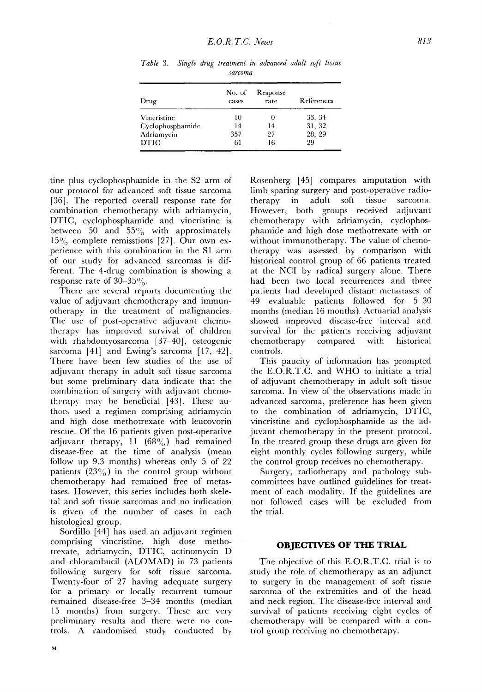| Drug             | No. of<br>cases | Response<br>rate | References |  |  |  |
|------------------|-----------------|------------------|------------|--|--|--|
| Vincristine      | 10              | U                | 33, 34     |  |  |  |
| Cyclophosphamide | 14              | 14               | 31, 32     |  |  |  |
| Adriamycin       | 357             | 27               | 28, 29     |  |  |  |
| DTIC             | 61              | 16               | 99         |  |  |  |
|                  |                 |                  |            |  |  |  |

*Table 3. Single drug treatment in advanced adult soft tissue sarcoma* 

tine plus cyclophosphamide in the \$2 arm of our protocol for advanced soft tissue sarcoma [36]. The reported overall response rate for combination chemotherapy with adriamycin, DTIC, cyclophosphamide and vincristine is between 50 and  $55\%$  with approximately  $15\%$  complete remisstions [27]. Our own experience with this combination in the S1 arm of our study for advanced sarcomas is different. The 4-drug combination is showing a response rate of  $30-35\%$ .

There are several reports documenting the value of adjuvant chemotherapy and immunotherapy in the treatment of malignancies. The use of post-operative adjuvant chemotherapy has improved survival of children with rhabdomyosarcoma [37-40], osteogenic sarcoma [41] and Ewing's sarcoma [17, 42]. There have been few studies of the use of adjuvant therapy in adult soft tissue sarcoma but some preliminary data indicate that the combination of surgery with adjuvant chemotherapy may be beneficial [43]. These authors used a regimen comprising adriamycin and high dose methotrexate with leucovorin rescue. Of the 16 patients given post-operative adjuvant therapy,  $11$  (68%) had remained disease-free at the time of analysis (mean follow up 9.3 months) whereas only 5 of 22 patients  $(23\%)$  in the control group without chemotherapy had remained free of metastases. However, this series includes both skeletal and soft tissue sarcomas and no indication is given of the number of cases in each histological group.

Sordillo [44] has used an adjuvant regimen comprising vincristine, high dose methotrexate, adriamycin, DTIC, actinomycin D and chlorambucil (ALOMAD) in 73 patients following surgery for soft tissue sarcoma. Twenty-four of 27 having adequate surgery for a primary or locally recurrent tumour remained disease-free 3-34 months (median 15 months) from surgery. These are very preliminary results and there were no controls. A randomised study conducted by

Rosenberg [45] compares amputation with limb sparing surgery and post-operative radiotherapy in adult soft tissue sarcoma. However, both groups received adjuvant chemotherapy with adriamycin, cyclophosphamide and high dose methotrexate with or without immunotherapy. The value of chemotherapy was assessed by comparison with historical control group of 66 patients treated at the NCI by radical surgery alone. There had been two local recurrences and three patients had developed distant metastases of 49 evaluable patients followed for 5-30 months (median 16 months). Actuarial analysis showed improved disease-free interval and survival for the patients receiving adjuvant chemotherapy compared with historical controls.

This paucity of information has prompted the E.O.R.T.C. and WHO to initiate a trial of adjuvant chemotherapy in adult soft tissue sarcoma. In view of the observations made in advanced sarcoma, preference has been given to the combination of adriamycin, DTIC, vincristine and cyclophosphamide as the adjuvant chemotherapy in the present protocol. In the treated group these drugs are given for eight monthly cycles following surgery, while the control group receives no chemotherapy.

Surgery, radiotherapy and pathology subcommittees have outlined guidelines for treatment of each modality. If the guidelines are not followed cases will be excluded from the trial.

#### **OBJECTIVES OF THE TRIAL**

The objective of this E.O.R.T.C. trial is to study the role of chemotherapy as an adjunct to surgery in the management of soft tissue sarcoma of the extremities and of the head and neck region. The disease-free interval and survival of patients receiving eight cycles of chemotherapy will be compared with a control group receiving no chemotherapy.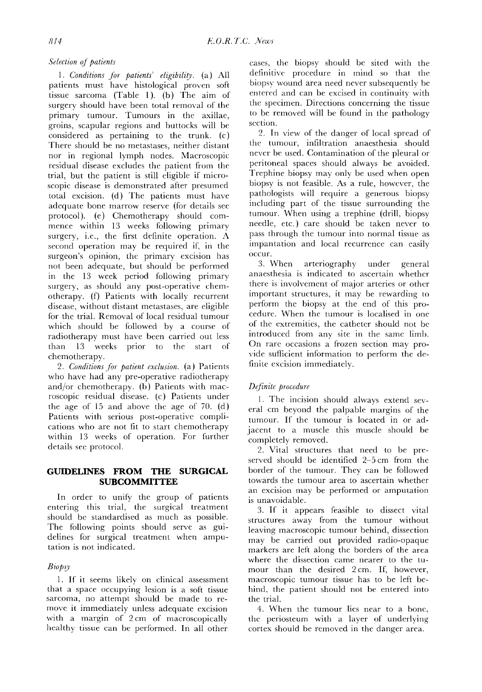## *Selection of patients*

*1. Conditions for patients' eligibility.* (a) All patients must have histological proven soft tissue sarcoma (Table 1). (b) The aim of surgery should have been total removal of the primary tumour. Tumours in the axillae, groins, scapular regions and buttocks will be considered as pertaining to the trunk. (c) There should be no metastases, neither distant nor in regional lymph nodes. Macroscopic residual disease excludes the patient from the trial, but the patient is still eligible if microscopic disease is demonstrated after presumed total excision. (d) The patients must have adequate bone marrow reserve (for details see protocol). (e) Chemotherapy should commence within 13 weeks following primary surgery, i.e., the first definite operation. A second operation may be required if, in the surgeon's opinion, the primary excision has not been adequate, but should be performed in the 13 week period following primary surgery, as should any post-operative chemotherapy. (f) Patients with locally recurrent disease, without distant metastases, are eligible for the trial. Removal of local residual tumour which should be followed by a course of radiotherapy must have been carried out less than 13 weeks prior to the start of chemotherapy.

*2. Conditions for patient exclusion.* (a) Patients who have had any pre-operative radiotherapy and/or chemotherapy. (b) Patients with macroscopic residual disease. (c) Patients under the age of 15 and above the age of 70. (d) Patients with serious post-operative complications who are not fit to start chemotherapy within 13 weeks of operation. For further details see protocol.

## **GUIDELINES FROM THE SURGICAL SUBCOMMITTEE**

In order to unify the group of patients entering this trial, the surgical treatment should be standardised as much as possible. The following points should serve as guidelines for surgical treatment when amputation is not indicated.

# *Biopsy*

1. If it seems likely on clinical assessment that a space occupying lesion is a soft tissue sarcoma, no attempt should be made to remove it immediately unless adequate excision with a margin of 2cm of macroscopically healthy tissue can be performed. In all other cases, the biopsy should be sited with the definitive procedure in mind so that the biopsy wound area need never subsequently be entered and can be excised in continuity with the specimen. Directions concerning the tissue to be removed will be found in the pathology section.

2. In view of the danger of local spread of the tumour, infiltration anaesthesia should never be used. Contamination of the pleural or peritoneal spaces should always be avoided. Trephine biopsy may only be used when open biopsy is not feasible. As a rule, however, the pathologists will require a generous biopsy including part of the tissue surrounding the tumour. When using a trephine (drill, biopsy needle, etc.) care should be taken never to pass through the tumour into normal tissue as impantation and local recurrence can easily occur.

3. When arteriography under general anaesthesia is indicated to ascertain whether there is involvement of major arteries or other important structures, it may be rewarding to perform the biopsy at the end of this procedure. When the tumour is localised in one of the extremities, the catheter should not be introduced from any site in the same limb. On rare occasions a frozen section may provide sufficient information to perform the definite excision immediately.

# *Definite procedure*

1. The incision should always extend several cm beyond the palpable margins of the tumour. If the tumour is located in or adjacent to a muscle this muscle should be completely removed.

2. Vital structures that need to be preserved should be identified 2-5 cm from the border of the tumour. They can be followed towards the tumour area to ascertain whether an excision may be performed or amputation is unavoidable.

3. If it appears feasible to dissect vital structures away from the tumour without leaving macroscopic tumour behind, dissection may be carried out provided radio-opaque markers are left along the borders of the area where the dissection came nearer to the tumour than the desired 2cm. If, however, macroscopic tumour tissue has to be left behind, the patient should not be entered into the trial.

4. When the tumour lies near to a bone, the periosteum with a layer of underlying cortex should be removed in the danger area.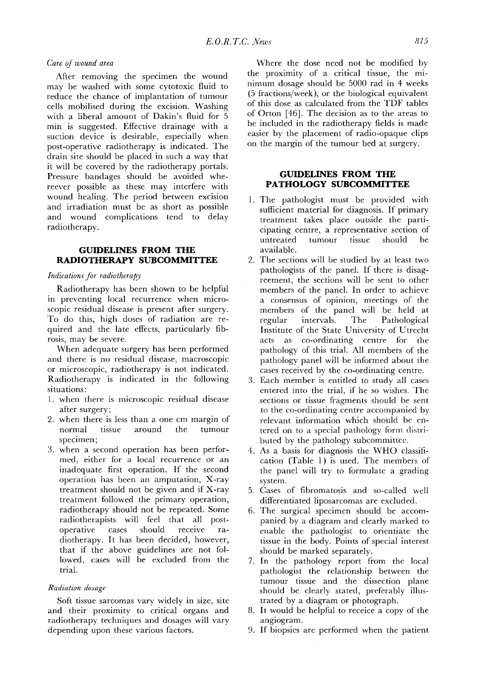### *Care of wound area*

After removing the specimen the wound may be washed with some cytotoxic fluid to reduce the chance of implantation of tumour cells mobilised during the excision. Washing with a liberal amount of Dakin's fluid for 5 min is suggested. Effective drainage with a suction device is desirable, especially when post-operative radiotherapy is indicated. The drain site should be placed in such a way that it will be covered by the radiotherapy portals. Pressure bandages should be avoided whereever possible as these may interfere with wound healing. The period between excision and irradiation must be as short as possible and wound complications tend to delay radiotherapy.

## **GUIDELINES FROM THE RADIOTHERAPY SUBCOMMITTEE**

#### *Indications for radiotherapy*

Radiotherapy has been shown to be helpful in preventing local recurrence when microscopic residual disease is present after surgery. To do this, high doses of radiation are required and the late effects, particularly fibrosis, may be severe.

When adequate surgery has been performed and there is no residual disease, macroscopic or microscopic, radiotherapy is not indicated. Radiotherapy is indicated in the following situations:

- 1. when there is microscopic residual disease after surgery;
- 2. when there is less than a one cm margin of normal tissue around the tumour specimen;
- 3. when a second operation has been performed, either for a local recurrence or an inadequate first operation. If the second operation has been an amputation, X-ray treatment should not be given and if X-ray treatment followed the primary operation, radiotherapy should not be repeated. Some radiotherapists will feel that all postoperative cases should receive radiotherapy. It has been decided, however, that if the above guidelines are not followed, cases will be excluded from the trial.

#### *Radiation dosage*

Soft tissue sarcomas vary widely in size, site and their proximity to critical organs and radiotherapy techniques and dosages will vary depending upon these various factors.

Where the dose need not be modified by the proximity of a critical tissue, the minimum dosage should be 5000 rad in 4 weeks (5 fractions/week), or the biological equivalent of this dose as calculated from the TDF tables of Orton [46]. The decision as to the areas to be included in the radiotherapy fields is made easier by the placement of radio-opaque clips on the margin of the tumour bed at surgery.

## **GUIDELINES FROM THE PATHOLOGY SUBCOMMITTEE**

- 1. The pathologist must be provided with sufficient material for diagnosis. If primary treatment takes place outside the participating centre, a representative section of untreated tumour tissue should be available.
- 2. The sections will be studied by at least two pathologists of the panel. If there is disagreement, the sections will be sent to other members of the panel. In order to achieve a consensus of opinion, meetings of the members of the panel will be held at regular intervals. The Pathological Institute of the State University of Utrecht acts as co-ordinating centre for the pathology of this trial. All members of the pathology panel will be informed about the cases received by the co-ordinating centre.
- 3. Each member is entitled to study all cases entered into the trial, if he so wishes. The sections or tissue fragments should be sent to the co-ordinating centre accompanied by relevant information which should be entered on to a special pathology form distributed by the pathology subcommittee.
- 4. As a basis for diagnosis the WHO classification (Table 1) is used. The members of the panel will try to formulate a grading system.
- 5. Cases of fibromatosis and so-called well differentiated liposarcomas are excluded.
- 6. The surgical specimen should be accompanied by a diagram and clearly marked to enable the pathologist to orientiate the tissue in the body. Points of special interest should be marked separately.
- 7. In the pathology report from the local pathologist the relationship between the tumour tissue and the dissection plane should be clearly stated, preferably illustrated by a diagram or photograph.
- 8. It would be helpful to receice a copy of the angiogram.
- 9. If biopsies are performed when the patient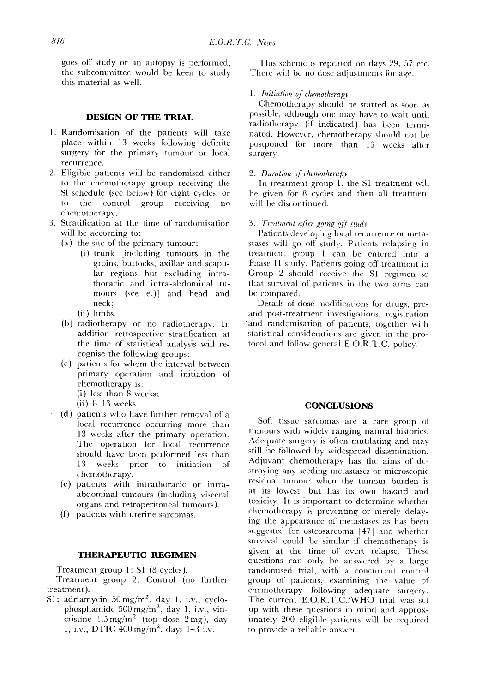goes off study or an autopsy is perfbrmed, the subcommittee would be keen to study this material as well.

## **DESIGN OF THE TRIAL**

- 1. Randomisation of the patients will take place within 13 weeks following definite surgery for the primary tumour or local recurrence.
- 2. Eligible patients will be randomised either to the chemotherapy group receiving the S1 schedule (see below) for eight cycles, or to the control group receiving chemotherapy.
- 3. Stratification at the time of randomisation will be according to:
	- (a) the site of the primary tumour:
		- (i) trunk [including tumours in the groins, buttocks, axillae and scapular regions but excluding intrathoracic and intra-abdominal tumours (see e.)] and head and neck;
		- (ii) limbs.
	- (b) radiotherapy or no radiotherapy. In addition retrospective stratification at the time of statistical analysis will recognise the following groups:
	- (c) patients for whom the interval between primary operation and initiation of chemotherapy is:
		- (i) less than  $\ddot{8}$  weeks;
		- $(ii)$  8-13 weeks.
	- (d) patients who have further removal of a local recurrence occurring more than 13 weeks after the primary operation. The operation for local recurrence should have been performed less than 13 weeks prior to initiation of chemotherapy.
	- (e) patients with intrathoracic or intraabdominal tumours (including visceral organs and retroperitoneal tumours).
	- (f) patients with uterine sarcomas.

## **THERAPEUTIC REGIMEN**

Treatment group 1:S1 (8 cycles).

Treatment group 2: Control (no further treatment).

S1: adriamycin  $50 \text{ mg/m}^2$ , day 1, i.v., cyclophosphamide  $500 \text{ mg/m}^2$ , day 1, i.v., vincristine  $1.5 \text{ mg/m}^2$  (top dose 2 mg), day 1, i.v., DTIC  $400 \text{ mg/m}^2$ , days  $1-3$  i.v.

This scheme is repeated on days 29, 57 etc. There will be no dose adjustments for age.

### *1. Initiation of chemotherapy*

Chemotherapy should be started as soon as possible, although one may have to wait until radiotherapy (if indicated) has been terminated. However, chemotherapy should not be postponed for more than 13 weeks after surgery.

#### *2. Duration of chemotherapy*

In treatment group 1, the S1 treatment will be given for 8 cycles and then all treatment will be discontinued.

#### *3. Trealmenl qfter going ~/ study*

Patients developing local recurrence or metastases will go otf study. Patients relapsing in treatment group 1 can be entered into a Phase II study. Patients going off treatment in Group 2 should receive the S1 regimen so that survival of patients in the two arms can be compared.

Details of dose modifications for drugs, preand post-treatment investigations, registration and randomisation of patients, together with statistical considerations are given in the protocol and follow general E.O.R.T.C. policy.

#### **CONCLUSIONS**

Soft tissue sarcomas are a rare group of tumours with widely ranging natural histories. Adequate surgery is often mutilating and may still be followed by widespread dissemination. Adjuvant chemotherapy has the aims of destroying any seeding metastases or microscopic residual tumour when the tumour burden is at its lowest, but has its own hazard and toxicity. It is important to determine whether chemotherapy is preventing or merely delaying the appearance of metastases as has been suggested for osteosarcoma [47] and whether survival could be similar if chemotherapy is given at the time of overt relapse. These questions can only be answered by a large randomised trial, with a concurrent control group of patients, examining the value of chemotherapy following adequate surgery. The current E.O.R.T.C./WHO trial was set up with these questions in mind and approximately 200 eligible patients will be required to provide a reliable answer.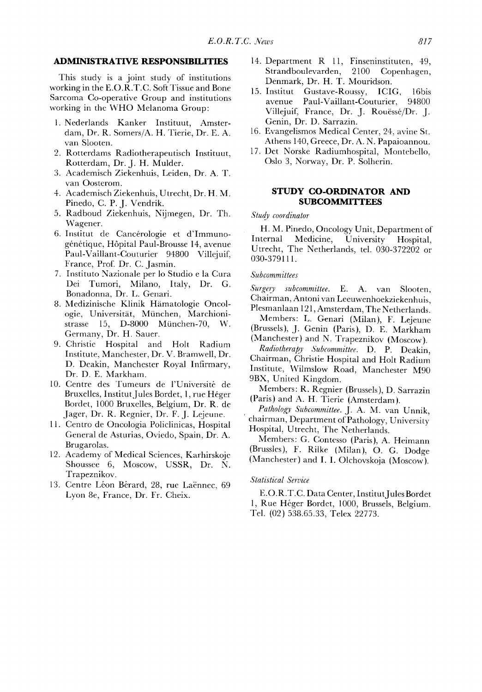### **ADMINISTRATIVE RESPONSIBILITIES**

This study is a joint study of institutions working in the E.O.R.T.C. Soft Tissue and Bone Sarcoma Co-operative Group and institutions working in the WHO Melanoma Group:

- 1. Nederlands Kanker Instituut, Amsterdam, Dr. R. Somers/A. H. Tierie, Dr. E. A. van Slooten.
- 2. Rotterdams Radiotherapeutisch Instituut, Rotterdam, Dr. J. H. Mulder.
- 3. Academisch Ziekenhuis, Leiden, Dr. A. T. van Oosterom.
- 4. Academisch Ziekenhuis, Utrecht, Dr. H. M. Pinedo, C. P. J. Vendrik.
- 5. Radboud Ziekenhuis, Nijmegen, Dr. Th. Wagener.
- 6. Institut de Cancérologie et d'Immunogénétique, Hôpital Paul-Brousse 14, avenue Paul-Vaillant-Couturier 94800 Villejuif, France, Prof. Dr. C. Jasmin.
- 7. Instituto Nazionale per lo Studio e la Cura Dei Tumori, Milano, Italy, Dr. G. Bonadonna, Dr. L. Genari.
- 8. Medizinische Klinik Hämatologie Oncologie, Universität, München, Marchionistrasse 15, D-8000 München-70, W. Germany, Dr. H. Sauer.
- 9. Christie Hospital and Holt Radium Institute, Manchester, Dr. V. Bramwell, Dr. D. Deakin, Manchester Royal Infirmary, Dr. D. E. Markham.
- 10. Centre des Tumeurs de l'Université de Bruxelles, Institut Jules Bordet, 1, rue Héger Bordet, 1000 Bruxelles, Belgium, Dr. R. de Jager, Dr. R. Regnier, Dr. F. J. Lejeune.
- 11. Centro de Oncologia Policlinicas, Hospital General de Asturias, Oviedo, Spain, Dr. A. Brugarolas.
- 12. Academy of Medical Sciences, Karhirskoje Shoussee 6, Moscow, USSR, Dr. N. Trapeznikov.
- 13. Centre Léon Bérard, 28, rue Laënnec, 69 Lyon 8e, France, Dr. Fr. Cheix.
- 14. Department R 11, Finseninstituten, 49, Strandboulevarden, 2100 Copenhagen, Denmark, Dr. H. T. Mouridson.
- 15. Institut Gustave-Roussy, ICIG, 16bis avenue Paul-Vaillant-Couturier, 94800 Villejuif, France, Dr. J. Rouëssé/Dr. J. Genin, Dr. D. Sarrazin.
- 16. Evangelismos Medical Center, 24, avine St. Athens 140, Greece, Dr. A. N. Papaioannou.
- 17. Det Norske Radiumhospital, Montebello, Oslo 3, Norway, Dr. P. Solherin.

## **STUDY CO-ORDINATOR AND SUBCOMMITTEES**

*Study coordinator* 

H. M. Pinedo, Oncology Unit, Department of Internal Medicine, University Hospital, Utrecht, The Netherlands, tel. 030-372202 or 030-379111.

## *Subcommittees*

*Surgery subcommittee.* E. A. van Slooten, Chairman, Antoni van Leeuwenhoekziekenhuis, Plesmanlaan 121, Amsterdam, The Netherlands.

- Members: L. Genari (Milan), F. Lejeune (Brussels), J. Genin (Paris), D. E. Markham
- (Manchester) and N. Trapeznikov (Moscow). *Radiotherapy Subcommittee.* D. P. Deakin,

Chairman, Christie Hospital and Holt Radium Institute, Wilmslow Road, Manchester M90 9BX, United Kingdom.

Members' R. Regnier (Brussels), D. Sarrazin (Paris) and A. H. Tierie (Amsterdam).

*, Pathology Subcommittee.* J. A. M. van Unnik, chairman, Department of Pathology, University Hospital, Utrecht, The Netherlands.

Members: G. Contesso (Paris), A. Heimann (Brussles), F. Rilke (Milan), O. G. Dodge (Manchester) and I. I. Olchovskoja (Moscow).

#### *Statistical Service*

E.O.R.T.C. Data Center, Institut Jules Bordet 1, Rue Héger Bordet, 1000, Brussels, Belgium. Tel. (02) 538.65.33, Telex 22773.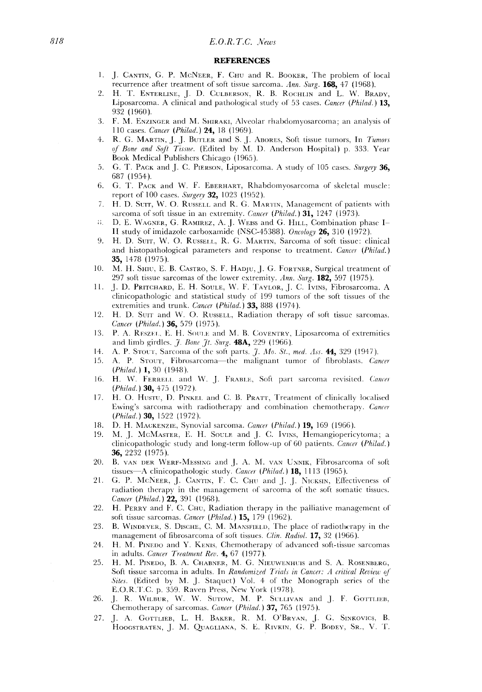### *818 E.O.R.T.C. News*

#### **REFERENCES**

- 1. J. CANTIN, G. P. McNEER, F. CHU and R. BOOKER, The problem of local recurrence after treatment of soft tissue sarcoma. *Ann. Surg.* 168, 47 (1968).
- 2. H. T. ENTERLINE, J. D. CULBERSON, R. B. ROCHLIN and L. W. BRADY, Liposarcoma. A clinical and pathological study of 53 cases. *Cancer (Philad.*) 13, 932 (1960).
- 3. F.M. ENZINGER and M. SHIRAKI, Alveolar rhabdomyosarcoma; an analysis of 110 cases. *Cancer (Philad.)* 24, 18 (1969).
- 4. R. G. MARTIN, J. J. BUTLER and S. J. ABORES, Soft tissue tumors, In *Tumors of Bone and SoJt Tissue.* (Edited by M. D. Anderson Hospital) p. 333. Year Book Medical Publishcrs Chicago (1965).
- 5. G.T. PACK and J. c. PIERSON, Liposarcoma. A study of 105 cases. *Surgery* 36, 687 (1954).
- 6. G. T. PACK and W. F. EBERHART, Rbabdomyosarcoma of skclctal muscle: report of 100 cases. *Surgery* **32,** 1023 (1952).
- 7. H. D. Surr, W. O. RUSSELL and R. G. MARTIN, Management of patients with sarcoma of soft tissue in an extremity. *Cancer (Philad.)* 31, 1247 (1973).
- i; D.E. WAGNER, G. RAMIREZ, A..]. WEISS and (3. HILL, Combination phasc I I I study of imidazole carboxamide (NSC-45388). *Oncology* 26, 310 (1972).
- 9. H. D. Surr, W. O. RUSSELL, R. G. MARTIN, Sarcoma of soft tissue: clinical and histopathological parameters and response to treatment, *Cancer (Philad.)*  35, 1478 (1975).
- 10. M. H. SHIU, E. B. CASTRO, S. F. HADJU, J. G. FORTNER, Surgical treatment of 297 soft tissue sarcomas of the lower extremity. Ann. Surg. 182, 597 (1975).
- 11. J. D. PRITCnARD, E. H. SOULE, W. F. TAYLOR, J. C. IVINS, Fibrosarcoma. A clinicopathologic and statistical study of 199 tumors of the soft tissues of the extremities and trunk. *Cancer (Philad.)* 33, 888 (1974).
- 12. If. D. SUIT and W. O. RUSSELL, Radiation therapy of soft tissue sarcomas. *Cancer (Philad,)* 36, 579 (1975).
- 13. P. A. RESZEL, E. H. SOULE and M. B. COVENTRY, Liposarcoma of extremities and limb girdles. *J. Bone Jt. Surg.* **48A**, 229 (1966).
- 14. A. P. STOUT, Sarcoma of the soft parts. *J. Mo. St., med. Ass.* **44,** 329 (1947).
- 15. A. P. STOUT, Fibrosarcoma-the malignant tumor of fibroblasts. *Cancer (Philad.)* **1,** 30 (1948).
- 16. H. W. FERRELL and W. J. FRABLE, Soft part sarcoma revisited. *Cancer (Philad.)* **30,** 475 (1972).
- 17. H.O. HUSTU, D. PINKEL and C. B. PRATT, Treatment of clinically localised Ewing's sarcoma with radiotherapy and combination chemothcrapy. *Cancer (Philad.)* **30,** 1522 (1972).
- 18. D. H. MACKENZIE, Synovial sarcoma. *Cancer (Philad.)* **19,** 169 (1966).
- 19. M.J. McMAsTER, E. H. SOULE and J. C. IVINS, Hemangiopericytoma; a clinicopathologic study and long-term follow-up of 60 patients. *Cancer (Philad.)*  36, 2232 (1975).
- 20. B. VAN DER WERF-MEssING and J. A. M. VAN UNNIK, Fibrosarcoma of soft tissues-A clinicopathologic study. *Cancer (Philad.*) **18,** 1113 (1965).
- 21. G. P. McNEER, J. CANTIN, F. C. CHU and J. J. NICKSIN, Effectiveness of radiation therapy in the management of sarcoma of the soft somatic tissues. *Cancer (Philad.)* **22,** 391 (1968).
- 22. H. PERRY and F. C. CHU, Radiation therapy in the palliative management of soft tissue sarcomas. *Cancer (Philad.)* 15, 179 (1962).
- 23. B. WINDEYER, S. DISCHE, C. M. MANSFIELD, The place of radiotherapy in the management of fibrosarcoma of soft tissues. *Clin. Radiol*. **17,** 32 (1966).
- 24. H. M. PINEDO and Y. KENIS, Chemotherapy of advanced soft-tissue sarcomas in adults. *Cancer Treatment Rev.* 4, 67 (1977).
- 25. H. M. PINEDO, B. A. CHABNER, M. G. NIEUWENHUIS and S. A. ROSENBERG, Soft tissue sarcoma in adults. In *Randomized Trials in Cancer: A critical Review of Sites.* (Edited by M. J. Staquet) Vol. 4 of the Monograph series of the E.O.R.T.C.p. 359. Raven Press, New York (1978).
- 26. J. R. WILBUR, W. W. SUTOW, M. P. SULLIVAN and J. F. GOTTLIEB, Chemotherapy of sarcomas. *Cancer (Philad.*) **37,** 765 (1975).
- 27. J. A. GOTTLIEB, L. H. BAKER, R. M. O'BRYAN, J. G. SINKOVICS, B. HOOGSTRATEN, J. M. QUAGLIANA, S. E. RIVKIN, G. P. BODEY, SR., V. T.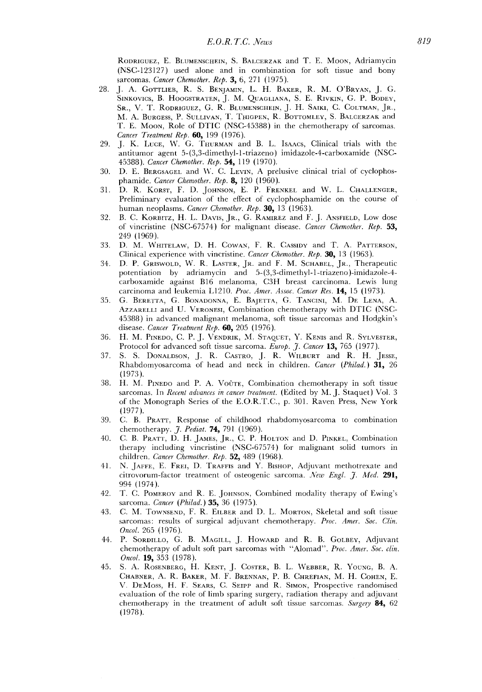RODRIGUEZ, E. BLUMENSCHEIN, S. BALCERZAK and T. E. MOON, Adriamycin (NSC-123127) used alone and in combination for soft tissue and bony sarcomas. *Cancer Chemother. Rep.* 3, 6, 271 (1975).

- 28. J. A. GOTTLIEB, R. S. BENJAMIN, L. H. BAKER, R. M. O'BRYAN, J. G. SINKOVICS, B. HOOGSTRATEN, J. M. QUAGLIANA, S. E. RIVKIN, G. P. BODEY, SR., V. T. RODRIGUEZ, G. R. BLUMENSCHEIN, J. H. SAIKI, C. COLTMAN, JR., M. A. BURGESS, P. SULLIVAN, T. THIGPEN, R. BOTTOMLEY, S. BALCERZAK and T. E. MOON, Role of DTIC (NSC-45388) in the chemotherapy of sarcomas. *Cancer Treatment Rep.* 60, 199 (1976).
- 29. J. K. LUCE, W. G. THURMAN and B. L. Isaacs, Clinical trials with the antitumor agent 5-(3,3-dimethyl-l-triazeno) imidazole-4-carboxamide (NSC-45388). *Cancer Chemother. Rep.* 54, 119 (1970).
- 30. D. E. BERGSAGEL and W. C. LEVlN, A prelusive clinical trial of cyclophosphamide. *Cancer Chemother. Rep.* 8, 120 (1960).
- 31. D. R. KORST, F. D. JOHNSON, E. P. FRENKEL and W. L. CHALLENGER, Preliminary evaluation of the effect of cyclophosphamide on the course of human neoplasms. *Cancer Chemother. Rep.* 30, 13 (1963).
- 32. B.C. KORBITZ, H. L. DAVIS, JR., G. RAMIREZ and F. J. ANSFIELD, LOW dose of vincristine (NSC-67574) for malignant disease. *Cancer Chemother. Rep.* 53, 249 (1969).
- 33. D. M. WHITELAW, O. H. COWAN, F. R. CASSIDY and T. A. PATTERSON, Clinical experience with vincristine. *Cancer Chemother. Rep.* 30, 13 (1963).
- 34. D. P. GRISWOLD, W. R. LASTER, JR. and F. M. SCHABEL, JR., Therapeutic potentiation by adriamycin and 5-(3,3-dimethyl-l-triazeno)-imidazole-4 carboxamide against B16 melanoma, C3H breast carcinoma. Lewis lung carcinoma and leukemia LI210. *Proc. Amer. Assoc. Cancer Res.* 14, 15 (1973).
- 35. G. BERETTA, G. BONADONNA, E. BAJETTA, G. TANCINI, M. DE LENA, A. AZZARELLI and U. VERONESI, Combination chemotherapy with DTIC (NSC-45388) in advanced malignant melanoma, soft tissue sarcomas and Hodgkin's disease. *Cancer Treatment Rep.* 60, 205 (1976).
- 36. H.M. PINEDO, C. P. J. VENDRIK, M. STAQUET, Y. KENIS and R. SYLVESTER, Protocol for advanced soft tissue sarcoma. *Europ. j. Cancer* 13, 765 (1977).
- 37. S. S. DONALDSON, J. R. CASTRO, J. R. WILBURT and R. H. JESSE, Rhabdomyosarcorna of head and neck in children. *Cancer (Philad.)* 31, 26 (1973).
- 38. H. M. PINEDO and P. A. VOUTE, Combination chemotherapy in soft tissue sarcomas. In *Recent advances in cancer treatment*. (Edited by M. J. Staquet) Vol. 3 of the Monograph Series of the E.O.R.T.C., p. 301. Raven Press, New York (1977).
- 39. C. B. PRATT, Response of childhood rhabdomyosarcoma to combination chemotherapy. *J. Pediat*. **74,** 791 (1969).
- 40. C. B. PRATT, D. H. JAMES, JR., C. P. HOLTON and D. PINKEL, Combination therapy including vincristine (NSC-67574) for malignant solid tumors in children. *Cancer Chemother. Rep.* 52, 489 (1968).
- 41. N. JAFFE, E. FREI, D. TRAFFIS and Y. BISHOP, Adjuvant methotrexate and citrovorum-factor treatment of osteogenic sarcoma. *New Engl. J. Med.* 291, 994 (1974).
- 42. T. C. POMEROY and R. E. JOHNSON, Combined modality therapy of Ewing's sarcoma. *Cancer (Philad.)* 35, 36 (1975).
- 43. C. M. TOWNSEND, F. R. EILBER and D. L. MORTON, Skeletal and soft tissue sarcomas: results of surgical adjuvant chemotherapy. *Proc. Amer. Soc. Clin. Oncol.* 265 (1976).
- 44. P. SORDILLO, G. B. MAGILL, J. HOWARD and R. B. GOLBEY, Adjuvant chemotherapy of adult soft part sarcomas with "Alomad". *Proc. Amer. Soc. clin. Oncol.* **19,** 353 (1978).
- 45. S. A. ROSENBERG, H. KENT, J. COSTER, B. L. WEBBER, R. YOUNG, B. A. CHABNER, A. R. BAKER, M. F. BRENNAN, P. B. CHREFIAN, M. H. COHEN, E. V. DEMoss, H. F. SEARS, C. SEIPP and R. SIMON, Prospective randomised evaluation of the role of limb sparing surgery, radiation therapy and adjuvant chemotherapy in the treatment of adult soft tissue sarcomas. *Surgery* 84, 62 (1978).